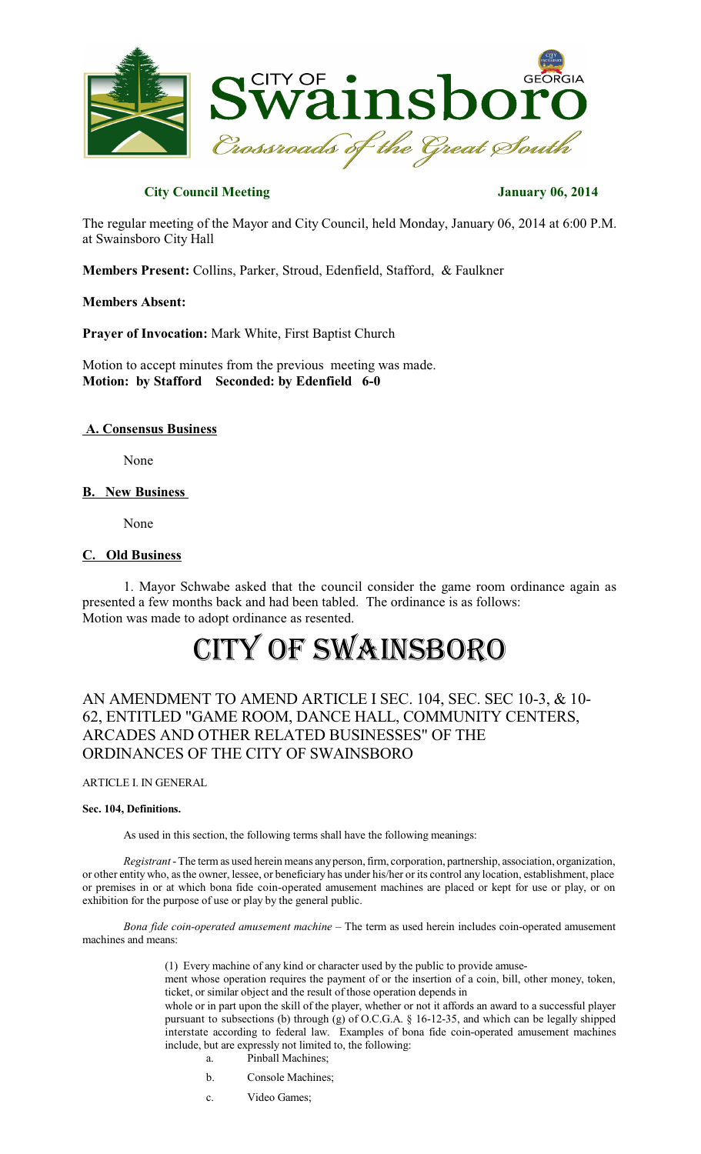

# **City Council Meeting January 06, 2014**

The regular meeting of the Mayor and City Council, held Monday, January 06, 2014 at 6:00 P.M. at Swainsboro City Hall

**Members Present:** Collins, Parker, Stroud, Edenfield, Stafford, & Faulkner

**Members Absent:**

**Prayer of Invocation:** Mark White, First Baptist Church

Motion to accept minutes from the previous meeting was made. **Motion: by Stafford Seconded: by Edenfield 6-0**

### **A. Consensus Business**

None

# **B. New Business**

None

# **C. Old Business**

1. Mayor Schwabe asked that the council consider the game room ordinance again as presented a few months back and had been tabled. The ordinance is as follows: Motion was made to adopt ordinance as resented.

# CITY OF SWAINSBORO

# AN AMENDMENT TO AMEND ARTICLE I SEC. 104, SEC. SEC 10-3, & 10- 62, ENTITLED "GAME ROOM, DANCE HALL, COMMUNITY CENTERS, ARCADES AND OTHER RELATED BUSINESSES" OF THE ORDINANCES OF THE CITY OF SWAINSBORO

ARTICLE I. IN GENERAL

#### **Sec. 104, Definitions.**

As used in this section, the following terms shall have the following meanings:

*Registrant* -The term as used herein means anyperson,firm, corporation, partnership, association, organization, or other entity who, asthe owner, lessee, or beneficiary has under his/her or its control any location, establishment, place or premises in or at which bona fide coin-operated amusement machines are placed or kept for use or play, or on exhibition for the purpose of use or play by the general public.

*Bona fide coin-operated amusement machine* – The term as used herein includes coin-operated amusement machines and means:

(1) Every machine of any kind or character used by the public to provide amuse-

ment whose operation requires the payment of or the insertion of a coin, bill, other money, token, ticket, or similar object and the result of those operation depends in

whole or in part upon the skill of the player, whether or not it affords an award to a successful player pursuant to subsections (b) through (g) of O.C.G.A. § 16-12-35, and which can be legally shipped interstate according to federal law. Examples of bona fide coin-operated amusement machines include, but are expressly not limited to, the following:

- a. Pinball Machines;
- b. Console Machines;
- c. Video Games;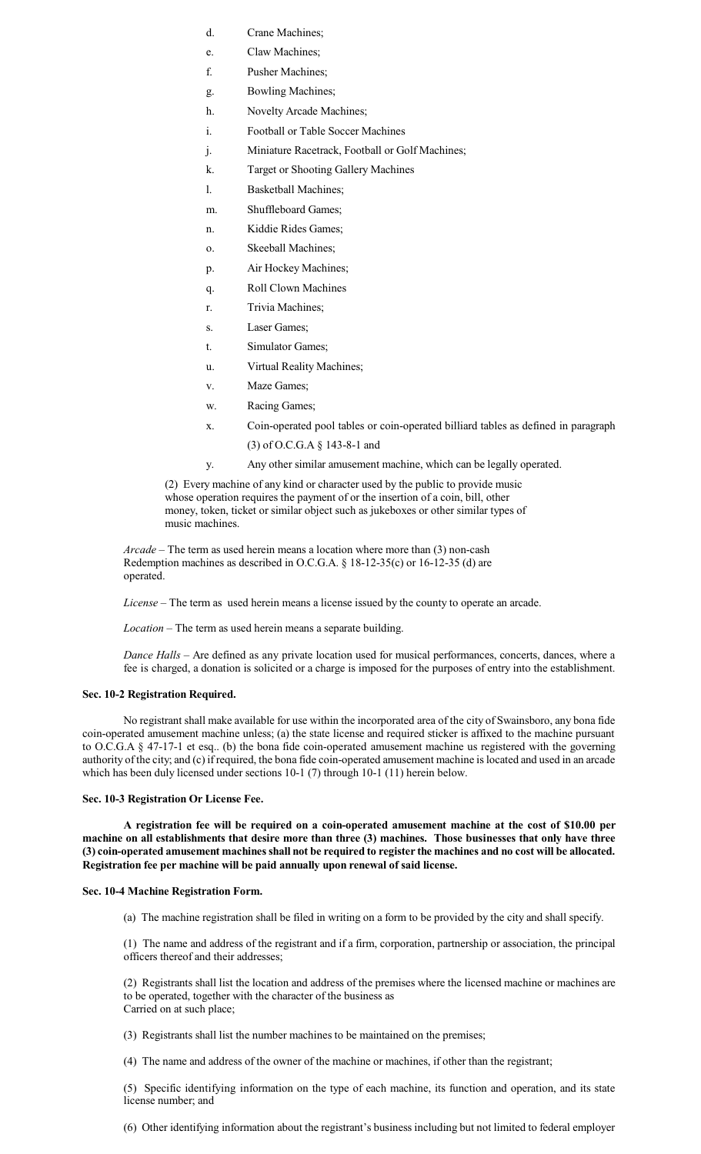- d. Crane Machines;
- e. Claw Machines;
- f. Pusher Machines;
- g. Bowling Machines;
- h. Novelty Arcade Machines;
- i. Football or Table Soccer Machines
- j. Miniature Racetrack, Football or Golf Machines;
- k. Target or Shooting Gallery Machines
- l. Basketball Machines;
- m. Shuffleboard Games;
- n. Kiddie Rides Games;
- o. Skeeball Machines;
- p. Air Hockey Machines;
- q. Roll Clown Machines
- r. Trivia Machines;
- s. Laser Games;
- t. Simulator Games;
- u. Virtual Reality Machines;
- v. Maze Games;
- w. Racing Games;
- x. Coin-operated pool tables or coin-operated billiard tables as defined in paragraph
	- (3) of O.C.G.A § 143-8-1 and
- y. Any other similar amusement machine, which can be legally operated.

(2) Every machine of any kind or character used by the public to provide music whose operation requires the payment of or the insertion of a coin, bill, other money, token, ticket or similar object such as jukeboxes or other similar types of music machines.

*Arcade* – The term as used herein means a location where more than (3) non-cash Redemption machines as described in O.C.G.A. § 18-12-35(c) or 16-12-35 (d) are operated.

*License* – The term as used herein means a license issued by the county to operate an arcade.

*Location* – The term as used herein means a separate building.

*Dance Halls* – Are defined as any private location used for musical performances, concerts, dances, where a fee is charged, a donation is solicited or a charge is imposed for the purposes of entry into the establishment.

#### **Sec. 10-2 Registration Required.**

No registrant shall make available for use within the incorporated area of the city of Swainsboro, any bona fide coin-operated amusement machine unless; (a) the state license and required sticker is affixed to the machine pursuant to O.C.G.A § 47-17-1 et esq.. (b) the bona fide coin-operated amusement machine us registered with the governing authority of the city; and (c) ifrequired, the bona fide coin-operated amusement machine islocated and used in an arcade which has been duly licensed under sections 10-1 (7) through 10-1 (11) herein below.

#### **Sec. 10-3 Registration Or License Fee.**

**A registration fee will be required on a coin-operated amusement machine at the cost of \$10.00 per machine on all establishments that desire more than three (3) machines. Those businesses that only have three (3) coin-operated amusement machinesshall not be required to register the machines and no cost will be allocated. Registration fee per machine will be paid annually upon renewal of said license.**

#### **Sec. 10-4 Machine Registration Form.**

(a) The machine registration shall be filed in writing on a form to be provided by the city and shall specify.

(1) The name and address of the registrant and if a firm, corporation, partnership or association, the principal officers thereof and their addresses;

(2) Registrants shall list the location and address of the premises where the licensed machine or machines are to be operated, together with the character of the business as Carried on at such place;

(3) Registrants shall list the number machines to be maintained on the premises;

(4) The name and address of the owner of the machine or machines, if other than the registrant;

(5) Specific identifying information on the type of each machine, its function and operation, and its state license number; and

(6) Other identifying information about the registrant's business including but not limited to federal employer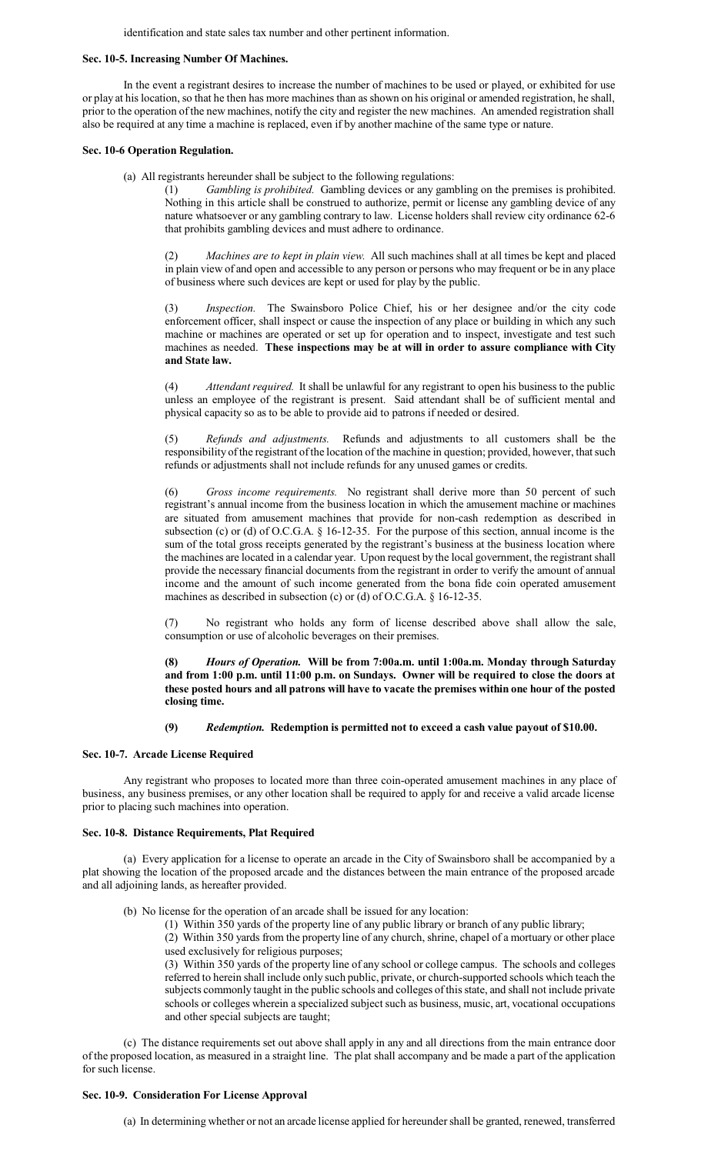identification and state sales tax number and other pertinent information.

#### **Sec. 10-5. Increasing Number Of Machines.**

In the event a registrant desires to increase the number of machines to be used or played, or exhibited for use or play at his location, so that he then has more machines than as shown on his original or amended registration, he shall, prior to the operation of the new machines, notify the city and register the new machines. An amended registration shall also be required at any time a machine is replaced, even if by another machine of the same type or nature.

#### **Sec. 10-6 Operation Regulation.**

(a) All registrants hereunder shall be subject to the following regulations:

(1) *Gambling is prohibited.* Gambling devices or any gambling on the premises is prohibited. Nothing in this article shall be construed to authorize, permit or license any gambling device of any nature whatsoever or any gambling contrary to law. License holders shall review city ordinance 62-6 that prohibits gambling devices and must adhere to ordinance.

(2) *Machines are to kept in plain view.* All such machines shall at all times be kept and placed in plain view of and open and accessible to any person or persons who may frequent or be in any place of business where such devices are kept or used for play by the public.

(3) *Inspection.* The Swainsboro Police Chief, his or her designee and/or the city code enforcement officer, shall inspect or cause the inspection of any place or building in which any such machine or machines are operated or set up for operation and to inspect, investigate and test such machines as needed. **These inspections may be at will in order to assure compliance with City and State law.**

(4) *Attendant required.* It shall be unlawful for any registrant to open his business to the public unless an employee of the registrant is present. Said attendant shall be of sufficient mental and physical capacity so as to be able to provide aid to patrons if needed or desired.

(5) *Refunds and adjustments.* Refunds and adjustments to all customers shall be the responsibility of the registrant of the location of the machine in question; provided, however, that such refunds or adjustments shall not include refunds for any unused games or credits.

(6) *Gross income requirements.* No registrant shall derive more than 50 percent of such registrant's annual income from the business location in which the amusement machine or machines are situated from amusement machines that provide for non-cash redemption as described in subsection (c) or (d) of O.C.G.A. § 16-12-35. For the purpose of this section, annual income is the sum of the total gross receipts generated by the registrant's business at the business location where the machines are located in a calendar year. Upon request by the local government, the registrant shall provide the necessary financial documents from the registrant in order to verify the amount of annual income and the amount of such income generated from the bona fide coin operated amusement machines as described in subsection (c) or (d) of O.C.G.A. § 16-12-35.

(7) No registrant who holds any form of license described above shall allow the sale, consumption or use of alcoholic beverages on their premises.

**(8)** *Hours of Operation.* **Will be from 7:00a.m. until 1:00a.m. Monday through Saturday and from 1:00 p.m. until 11:00 p.m. on Sundays. Owner will be required to close the doors at these posted hours and all patrons will have to vacate the premises within one hour of the posted closing time.**

# **(9)** *Redemption.* **Redemption is permitted not to exceed a cash value payout of \$10.00.**

#### **Sec. 10-7. Arcade License Required**

Any registrant who proposes to located more than three coin-operated amusement machines in any place of business, any business premises, or any other location shall be required to apply for and receive a valid arcade license prior to placing such machines into operation.

#### **Sec. 10-8. Distance Requirements, Plat Required**

(a) Every application for a license to operate an arcade in the City of Swainsboro shall be accompanied by a plat showing the location of the proposed arcade and the distances between the main entrance of the proposed arcade and all adjoining lands, as hereafter provided.

(b) No license for the operation of an arcade shall be issued for any location:

(1) Within 350 yards of the property line of any public library or branch of any public library;

(2) Within 350 yards from the property line of any church, shrine, chapel of a mortuary or other place used exclusively for religious purposes;

(3) Within 350 yards of the property line of any school or college campus. The schools and colleges referred to herein shall include only such public, private, or church-supported schools which teach the subjects commonly taught in the public schools and colleges ofthisstate, and shall not include private schools or colleges wherein a specialized subject such as business, music, art, vocational occupations and other special subjects are taught;

(c) The distance requirements set out above shall apply in any and all directions from the main entrance door of the proposed location, as measured in a straight line. The plat shall accompany and be made a part of the application for such license.

#### **Sec. 10-9. Consideration For License Approval**

(a) In determining whether or not an arcade license applied for hereundershall be granted, renewed, transferred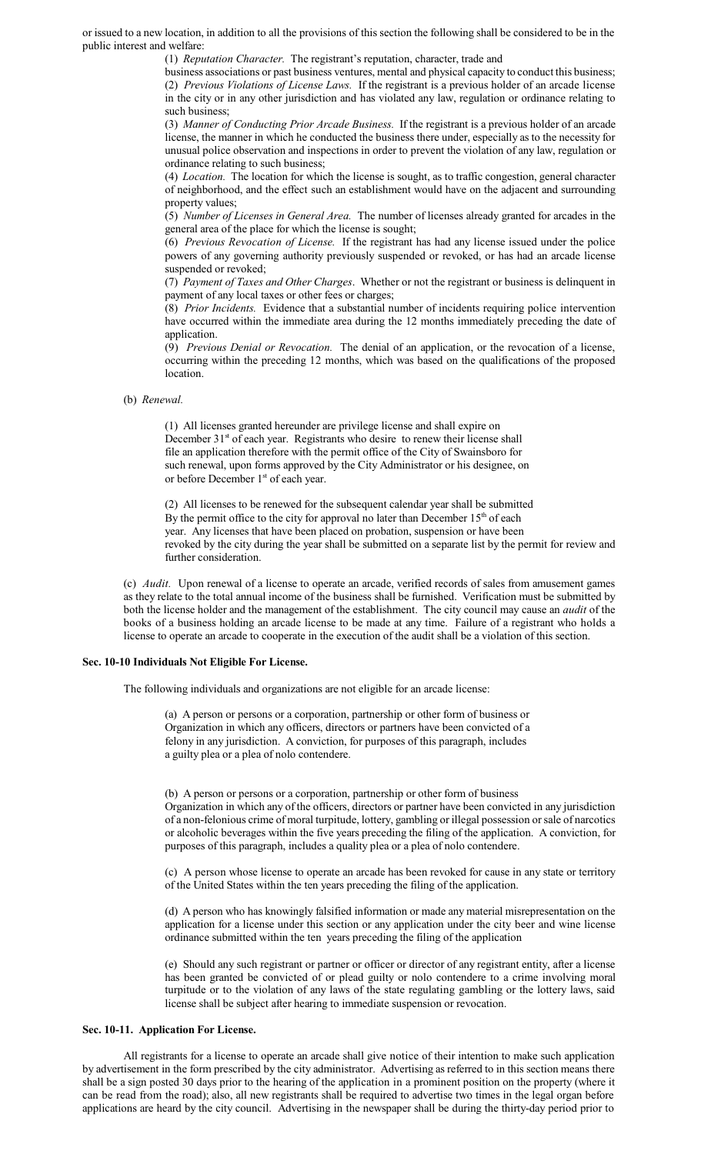or issued to a new location, in addition to all the provisions of this section the following shall be considered to be in the public interest and welfare:

(1) *Reputation Character.* The registrant's reputation, character, trade and

business associations or past business ventures, mental and physical capacity to conduct this business; (2) *Previous Violations of License Laws.* If the registrant is a previous holder of an arcade license in the city or in any other jurisdiction and has violated any law, regulation or ordinance relating to such business;

(3) *Manner of Conducting Prior Arcade Business.* If the registrant is a previous holder of an arcade license, the manner in which he conducted the business there under, especially as to the necessity for unusual police observation and inspections in order to prevent the violation of any law, regulation or ordinance relating to such business;

(4) *Location.* The location for which the license is sought, as to traffic congestion, general character of neighborhood, and the effect such an establishment would have on the adjacent and surrounding property values;

(5) *Number of Licenses in General Area.* The number of licenses already granted for arcades in the general area of the place for which the license is sought;

(6) *Previous Revocation of License.* If the registrant has had any license issued under the police powers of any governing authority previously suspended or revoked, or has had an arcade license suspended or revoked;

(7) *Payment of Taxes and Other Charges*. Whether or not the registrant or business is delinquent in payment of any local taxes or other fees or charges;

(8) *Prior Incidents.* Evidence that a substantial number of incidents requiring police intervention have occurred within the immediate area during the 12 months immediately preceding the date of application.

(9) *Previous Denial or Revocation.* The denial of an application, or the revocation of a license, occurring within the preceding 12 months, which was based on the qualifications of the proposed location.

#### (b) *Renewal.*

(1) All licenses granted hereunder are privilege license and shall expire on December 31<sup>st</sup> of each year. Registrants who desire to renew their license shall file an application therefore with the permit office of the City of Swainsboro for such renewal, upon forms approved by the City Administrator or his designee, on or before December 1<sup>st</sup> of each year.

(2) All licenses to be renewed for the subsequent calendar year shall be submitted By the permit office to the city for approval no later than December 15<sup>th</sup> of each year. Any licenses that have been placed on probation, suspension or have been revoked by the city during the year shall be submitted on a separate list by the permit for review and further consideration.

(c) *Audit.* Upon renewal of a license to operate an arcade, verified records of sales from amusement games as they relate to the total annual income of the business shall be furnished. Verification must be submitted by both the license holder and the management of the establishment. The city council may cause an *audit* of the books of a business holding an arcade license to be made at any time. Failure of a registrant who holds a license to operate an arcade to cooperate in the execution of the audit shall be a violation of this section.

#### **Sec. 10-10 Individuals Not Eligible For License.**

The following individuals and organizations are not eligible for an arcade license:

(a) A person or persons or a corporation, partnership or other form of business or Organization in which any officers, directors or partners have been convicted of a felony in any jurisdiction. A conviction, for purposes of this paragraph, includes a guilty plea or a plea of nolo contendere.

(b) A person or persons or a corporation, partnership or other form of business Organization in which any of the officers, directors or partner have been convicted in any jurisdiction of a non-felonious crime of moral turpitude, lottery, gambling or illegal possession orsale of narcotics or alcoholic beverages within the five years preceding the filing of the application. A conviction, for purposes of this paragraph, includes a quality plea or a plea of nolo contendere.

(c) A person whose license to operate an arcade has been revoked for cause in any state or territory of the United States within the ten years preceding the filing of the application.

(d) A person who has knowingly falsified information or made any material misrepresentation on the application for a license under this section or any application under the city beer and wine license ordinance submitted within the ten years preceding the filing of the application

(e) Should any such registrant or partner or officer or director of any registrant entity, after a license has been granted be convicted of or plead guilty or nolo contendere to a crime involving moral turpitude or to the violation of any laws of the state regulating gambling or the lottery laws, said license shall be subject after hearing to immediate suspension or revocation.

#### **Sec. 10-11. Application For License.**

All registrants for a license to operate an arcade shall give notice of their intention to make such application by advertisement in the form prescribed by the city administrator. Advertising as referred to in this section means there shall be a sign posted 30 days prior to the hearing of the application in a prominent position on the property (where it can be read from the road); also, all new registrants shall be required to advertise two times in the legal organ before applications are heard by the city council. Advertising in the newspaper shall be during the thirty-day period prior to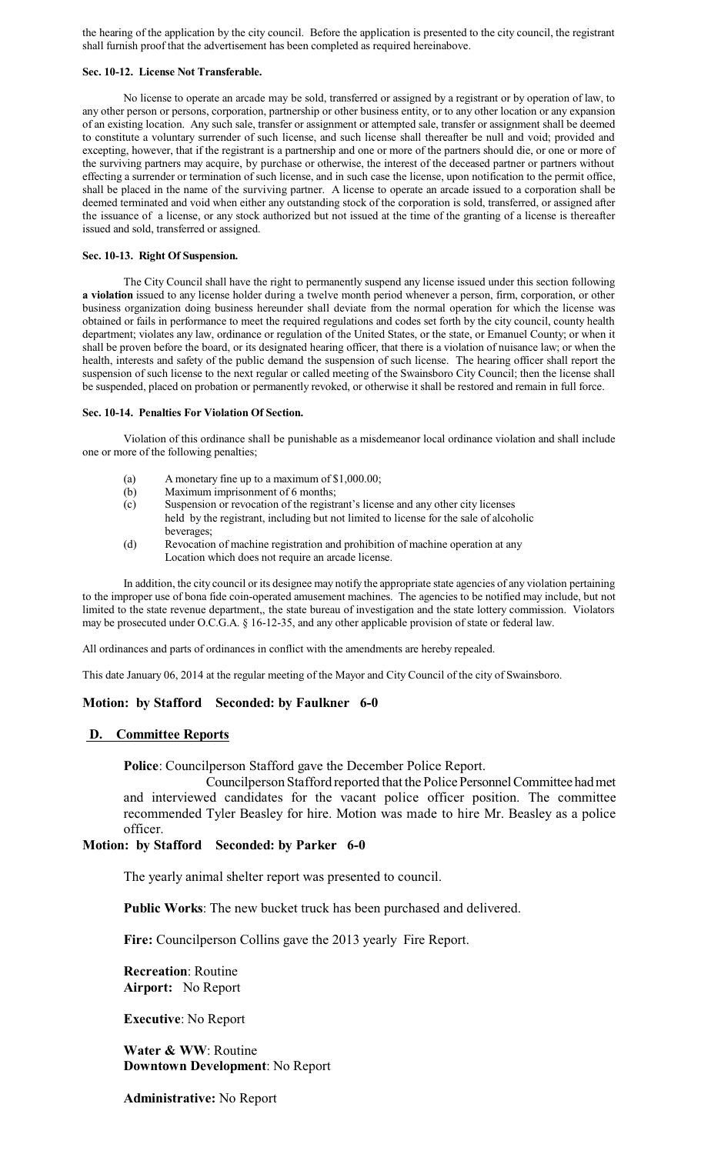the hearing of the application by the city council. Before the application is presented to the city council, the registrant shall furnish proof that the advertisement has been completed as required hereinabove.

#### **Sec. 10-12. License Not Transferable.**

No license to operate an arcade may be sold, transferred or assigned by a registrant or by operation of law, to any other person or persons, corporation, partnership or other business entity, or to any other location or any expansion of an existing location. Any such sale, transfer or assignment or attempted sale, transfer or assignment shall be deemed to constitute a voluntary surrender of such license, and such license shall thereafter be null and void; provided and excepting, however, that if the registrant is a partnership and one or more of the partners should die, or one or more of the surviving partners may acquire, by purchase or otherwise, the interest of the deceased partner or partners without effecting a surrender or termination of such license, and in such case the license, upon notification to the permit office, shall be placed in the name of the surviving partner. A license to operate an arcade issued to a corporation shall be deemed terminated and void when either any outstanding stock of the corporation is sold, transferred, or assigned after the issuance of a license, or any stock authorized but not issued at the time of the granting of a license is thereafter issued and sold, transferred or assigned.

#### **Sec. 10-13. Right Of Suspension.**

The City Council shall have the right to permanently suspend any license issued under this section following **a violation** issued to any license holder during a twelve month period whenever a person, firm, corporation, or other business organization doing business hereunder shall deviate from the normal operation for which the license was obtained or fails in performance to meet the required regulations and codes set forth by the city council, county health department; violates any law, ordinance or regulation of the United States, or the state, or Emanuel County; or when it shall be proven before the board, or its designated hearing officer, that there is a violation of nuisance law; or when the health, interests and safety of the public demand the suspension of such license. The hearing officer shall report the suspension of such license to the next regular or called meeting of the Swainsboro City Council; then the license shall be suspended, placed on probation or permanently revoked, or otherwise it shall be restored and remain in full force.

# **Sec. 10-14. Penalties For Violation Of Section.**

Violation of this ordinance shall be punishable as a misdemeanor local ordinance violation and shall include one or more of the following penalties;

- (a) A monetary fine up to a maximum of \$1,000.00;
- (b) Maximum imprisonment of 6 months;
- (c) Suspension or revocation of the registrant's license and any other city licenses held by the registrant, including but not limited to license for the sale of alcoholic beverages;
- (d) Revocation of machine registration and prohibition of machine operation at any Location which does not require an arcade license.

In addition, the city council or its designee may notify the appropriate state agencies of any violation pertaining to the improper use of bona fide coin-operated amusement machines. The agencies to be notified may include, but not limited to the state revenue department,, the state bureau of investigation and the state lottery commission. Violators may be prosecuted under O.C.G.A. § 16-12-35, and any other applicable provision of state or federal law.

All ordinances and parts of ordinances in conflict with the amendments are hereby repealed.

This date January 06, 2014 at the regular meeting of the Mayor and City Council of the city of Swainsboro.

#### **Motion: by Stafford Seconded: by Faulkner 6-0**

#### **D. Committee Reports**

**Police**: Councilperson Stafford gave the December Police Report.

Councilperson Stafford reported that the Police Personnel Committee had met and interviewed candidates for the vacant police officer position. The committee recommended Tyler Beasley for hire. Motion was made to hire Mr. Beasley as a police officer.

# **Motion: by Stafford Seconded: by Parker 6-0**

The yearly animal shelter report was presented to council.

**Public Works**: The new bucket truck has been purchased and delivered.

**Fire:** Councilperson Collins gave the 2013 yearly Fire Report.

**Recreation**: Routine **Airport:** No Report

**Executive**: No Report

**Water & WW**: Routine **Downtown Development**: No Report

**Administrative:** No Report